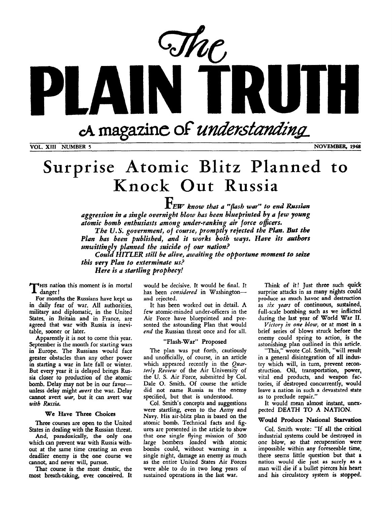

**VOL. XI11 NUMBER** *5* **NOVEMBER, 1948** 

# Surprise Atomic Blitz Planned **to Knock Out Russia**

*FEW know that a "flash war'' to end Russian aggression in a single overnight blow has been blueprinted by a few young*  atomic bomb enthusiasts among under-ranking air force officers. *The U.S. government, of course, promptly rejected the Plan. But* **tbe** 

Plan bas been published, and it works both ways. Have its authors *unwittin 1 planned the suicide of our nation?* 

*this very Plan to exterminate us? Here is a startling prophecy! Could HITLER still be alive, awaiting the opportune moment to seize* 

**HIS** nation this moment is in mortal **T** danger !

For months the Russians have kept **us**  in daily fear of war. All authorities, military and diplomatic, in the United States, in Britain and in France, are agreed that war with Russia is inevitable, sooner or later.

Apparently it is not to come this year. September is the month for starting wars in Europe. The Russians would face greater obstacles than any other power in starting a war in late fall or winter. But every year it is delayed brings Russia closer to production of the atomic bomb. Delay may not **be** in our favor**unless** delay might *avert* the war. Delay cannot avert *war,* but it can avert war *with Russia.* 

#### We Have **Three** Choices

Three **courses** are open to the United States in dealing with the Russian threat.

And, paradoxically, the only one which can prevent war with Russia without at the same time creating an even deadlier enemy is **the** one course we cannot, and never will, pursue.

That course is the most drastic, the most breath-taking, **ever** conceived. It would be decisive. It would be final. It has been *ronsidered* in Washingtonand rejected.

It has been worked out in detail. A few atomic-minded under-officers in the Air Force have blueprinted and presented the astounding Plan that would *end* the Russian threat once and for all.

### "Flash-War" Proposed

The plan was put forth, cautiously and unofficially, of course, in an article which appeared recently in the *Quarterly Review* of the Air University of the U. S. Air Force, submitted by GI. Dale 0. Smith. Of course the article did not name Russia **as** the enemy specified, but that is understood.

Col. Smith's concepts and suggestions were startling, even to the Army and Navy. His air-blitz plan is based on the atomic bomb. Technical facts and fig ures are presented in the article to show that **one single** flying mission **of 300**  large bombers loaded with atomic bombs could, without warning in a single night, damage an enemy **as** much **as the** entire United States Air Forces were able to do in two long years of sustained operations in the last war.

Think of it! Just three such quick surprise attacks in **as** many nights could produce **as much** havoc and destruction **as** *six years* of continuous, sustained, full-scale bombing such as we inflicted during the last year of World War **11.** 

*Virtory in one blow,* or at most in a brief series of blows struck before the enemy could spring to action, is the astonishing plan outlined in this article.

"This," wrote Col. Smith, "will result in a general disintegration of all industry which will, in turn, prevent reconstruction. Oil, transportation, power, vital end products, and weapon factories, if destroyed concurrently, would leave a nation in such *a* devastated state as to preclude repair."

It would mean almost instant, unexpected DEATH TO A NATION.

### **Would** Produce National Starvation

Col. Smith wrote: "If all the critical industrial systems could be destroyed in **one** blow, **so** that recuperation were impossible within any foreseeable time, there seems little question but that **a**  nation would die just **as** surely **as** a man will die if a bullet pierces his heart and his circulatory system is stopped.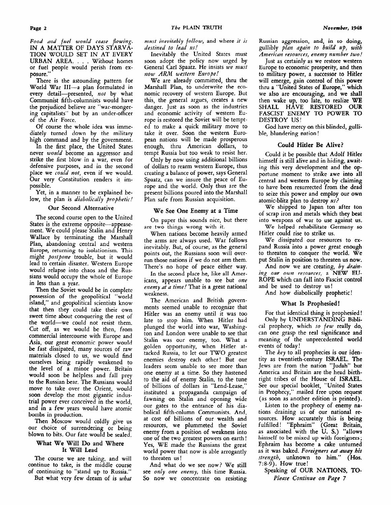Food and fuel would cease flowing. TION WOULD SET IN AT EVERY URBAN AREA. . . . Without homes or fuel people would perish from exposure.' IN A MATTER OF DAYS STARVA-

There is the astounding pattern for World War **III-a** plan formulated in every detail-presented, *not* by what Communist fifth-columnists would have the prejudiced believe are "war-mongering capitalists" but by an under-officer of the Air Force.

Of course the whole idea was immediately turned down by the military high command and by the government.

In the first place, the United States never *would* become an aggressor and strike the first blow in a war, even for defensive purposes, and in the second place we *could not,* even if we would. Our very Constitution renders it impossible.

Yet, in a manner to be explained below, the plan is *diabolically prophetic!* 

### Our Second Alternative

The second course open to the United States is the extreme opposite-appeasement. We could please Stalin and Henry Wallace by terminating the Marshall Plan, abandoning central and western Europe, returning to isolationism. This might *po.rtpone* trouble, but it would lead to certain disaster. Western Europe would relapse into chaos and the Russians would occupy the whole of Europe in less than a year.

Then the Soviet would be in complete possession **of** the geopolitical "world island," and geopolitical scientists know that then they could take their own sweet time about conquering the rest of the world-we could not resist them. Cut off, as we would be then, from commercial intercourse with Europe and Asia, our great economic power would be fast dissipated, many sources of raw materials closed to us, we would find ourselves being rapidly weakened to the level *of* a minor power. Britain would soon be helpless and fall prey to the Russian bear. The Russians would move to take over the Orient, would soon develop the most gigantic industrial power ever conceived in the world, and in a few years would have atomic bombs in production.

Then Moscow would coldly give us our choice of surrendering or being blown to bits. Our fate would be sealed.

### What We Will **Do** and Where It Will Lead

The course we are taking, and will continue to take, is the middle course of continuing to "stand up to Russia."

But what very few dream of is *wbui* 

*must ineuit&y follow,* and where *it is destined to lead us!* 

Inevitably the United States must soon adopt the policy now urged by General **Carl** Spaatz. He insists *we must now ARM western Europe!* 

We are already committed, thru the Marshall Plan, to underwrite the economic recovery of western Europe. But this, the general argues, creates a new danger. Just as soon as the industries and economic activity of western **Eu**rope is restored the Soviet will be tempted to make a quick military move to take it over. Soon the western European nations will be made prosperous enough, thru American dollars, to tempt Russia but too weak to resist her.

Only by now using additional billions of dollars to rearm western Europe, thus creating a balance of power, says General Spaatz, can we insure the peace of Europe and the world. Only thus are the present billions poured into the Marshall Plan safe from Russian acquisition.

### We See One Enemy at a Time

On paper this sounds nice, but there are two things wrong with it.

When nations become heavily armed the arms are always used. War follows inevitably. But, of course, as the general points out, the Russians soon will overrun those nations if we do not arm them. There's no hope of peace either way.

In the second place he, like all Americans, appears unable to see but *one enemy at u time!* That is a great national weakness.

The American and British governments seemed unable to recognize that Hitler was an enemy until it was too late to stop him. When Hitler had plunged the world into war, Washington and London were unable to see that Stalin was our enemy, too. What a golden opportunity, when Hitler attacked Russia, to let our TWO greatest enemies destroy each other! But our leaders seem unable to see more than one enemy at a time. So they hastened to the aid of enemy Stalin, to the tune of billions of dollars in "Lend-Lease," instituted a propaganda campaign of fawning on Stalin and opening wide our gates to the entrance of his diabolical fifth-column Communists. And, at cost of billions of our wealth and resources, we plummeted the Soviet enemy from a position **of** weakness into one of the two greatest powers on earth ! Yes, WE made the Russians the great world power that now is able arrogantly to threaten us !

And what do we see now? We still see *only one enemy,* this time Russia. So now we concentrate on resisting

Russian aggression, and, in **so** doing, gullibly *plan again to build up, with American resourcer, enemy number two!* 

Just as certainly as we restore western Europe to economic prosperity, and then to military power, a successor *to* Hitler will emerge, gain control **of** this power thru a "United States of Europe," which we also are encouraging, and we shall then wake up, too late, to realize WE SHALL HAVE RESTORED **OUR**  FASCIST ENEMY **TO** POWER TO DESTROY US!

God have mercy on this blinded, gullible, blundering nation !

### **Could Hitler Be Alive?**

Could it be possible that Adolf Hitler himself is still alive and in hiding, awaiting this very development and the opportune moment to strike awe into all central and western Europe by claiming to have been resurrected from the dead to seize this power and employ out own atomic-blitz plan to destroy *us?* 

We shipped to Japan ton after ton of scrap iron and metals which they beat into weapons of war to use against us.

We helped rehabilitate Germany **so**  Hitler could rise to strike us.

We dissipated our resources to expand Russia into a power great enough to threaten to conquer the world. We put Stalin in position to threaten us now.

And now we are creating, *by draining our own resources,* a **NEW EU-**ROPE which can fall into Fascist control and be used to destroy us!

And how diabolicalIy prophetic!

### What **Is** Prophesied!

**For** that identical thing is prophesied !

Only by UNDERSTANDING Biblical prophecy, which so *few* really **do,**  can one grasp the real significance and meaning of the unprecedented world events of today !

The *key* to all prophecies is our identity as twentieth-century ISRAEL. The Jews are from the nation "Judah" **but**  America and Britain are the head birthright tribes of the House **of** ISRAEL. See our special booklet, "United States in Prophecy," mailed free upon request (as soon as another edition is printed).

Listen to the prophecy of enemy nations draining us of our national resources. How accurately this is being fulfilled! "Ephraim" (Great Britain, as associated with the U. **S.)** "allows himself to be mixed up with foreigners; Ephraim has become a cake unturned as it was baked. *Foreigners eat away his strength,* unknown to him." **(Hos. 7** : 8-9). How true !

Speaking of OUR NATIONS, TO-*Please Continue on Page* **7**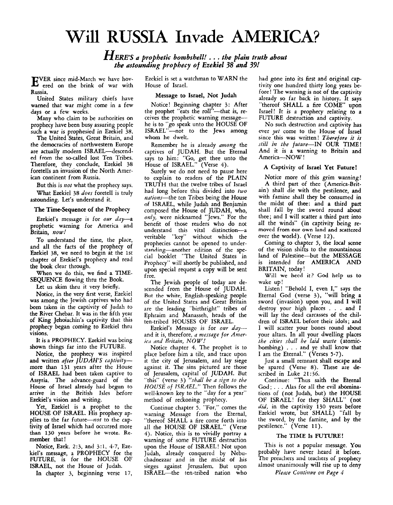## Will **RUSSIA Invade AMERICA?**

*HERE'S Q prophetic bombshell!* . . . *the plain truth about the astounding prophecy of Ezekiel* **38** *and 39!* 

VER since mid-March we have hov- E ered on the brink of war with Russia.

United States military chiefs have warned that war might come in a few days or a few weeks.

Many who claim to be authorities on prophecy have been busy assuring people such a war is prophesied in Ezekiel 38.

The United States, Great Britain, and the democracies of northwestern Europe are actually modern ISRAEL-descended from the so-called lost Ten Tribes. Therefore, they conclude, Ezekiel **38**  foretells an invasion of the North American continent from Russia.

But this is *not* what the prophecy says.

What Ezekiel **38** *does* foretell is truly astounding. Let's understand it.

The Time-Sequence of the Prophecy

Ezekiel's message is for our day-a prophetic warning for America and Britain, *now!* 

To understand the time, the place, and all the facts of the prophecy of Ezekiel **38,** we need to begin at the 1st chapter of Ezekiel's prophecy and read the **book** clear through.

When we do this, we find a **TIME-**SEQUENCE flowing thru the Book.

Let us skim thru it very briefly.

Notice, in the very first verse, Ezekiel was among the Jewish captives who had been taken in the captivity of Judah to the River Chebar. It was in the fifth year of King Jehoiachin's captivity that this prophecy began coming to Ezekiel thru visions.

It is a PROPHECY. Ezekiel was being shown things far into the FUTURE.

Notice, the prophecy was inspired and written *after IUDAHS captivity*more than **131** years after the House of ISRAEL had been taken captive to Assyria. The advance-guard of the House of Israel already had begun **to**  arrive in the British Isles before Ezekiel's vision and writing.

Yet, Ezekiel is a prophet to the HOUSE OF ISRAEL. His prophecy applies to the far future- $not$  to the captivity of Israel which had occurred more than **130** years before he wrote. **Re**member that !

Notice, Ezek. **2:3,** and **3:1, 4-7,** Ezekiel's message, a PROPHECY for the FUTURE, is for the HOUSE OF ISRAEL, not the House of Judah.

In chapter *3,* beginning verse 17,

Ezekiel is set a watchman to WARN the House of Israel.

### Message to Israel, Not Judah

Notice! Beginning chapter **3:** After the prophet "eats the roll"-that is, receives the prophetic warning messagehe is to "go speak unto the HOUSE OF ISRAEL"-not to the Jews among whom he dwelt.

Remember he is already among the captives of JUDAH. But the Eternal says to him: "Go, get thee unto the House of ISRAEL." (Verse 4).

Surely we do not need to pause here to explain to readers of the PLAIN TRUTH that the twelve tribes of Israel had long before this divided into *two*  nations-the ten Tribes being the House of ISRAEL, while Judah and Benjamin composed the House of JUDAH, who, *only,* were nicknamed "Jews." For the benefit of those readers who do not understand this vital distinction-a veritable "key" without which the prophecies cannot be opened to understanding-another edition of the special booklet "The United States in Prophecy" will shortly be published, and upon special request a copy will be sent free.

The Jewish people of today are descended from the House of JUDAH. But the white, English-speaking people of the United States and Great Britain are the leading "birthright" tribes of Ephraim and Manasseh, heads of the ten-tribed HOUSES OF ISRAEL.

Ezekiel's Message is for our *day*and it is, therefore, a message for Amer*ica and Britain*, NOW!

Notice chapter 4. The prophet is to place before him a tile, and trace upon it the city of Jerusalem, and lay siege against it. The sins pictured are those of Jerusalem, capital of JUDAH. But "this" (verse **3)** "shall *be Q sign to the HOUSE of ISRAEL."* Then follows the well-known key to the "day for a year" method of reckoning prophecy.

Continue chapter *5.* "For," comes the warning Message from the Eternal, "thereof SHALL a fire come forth into all the HOUSE OF ISRAEL." (Verse **4).** Notice, this **is** to vividly portray **a**  warning of some FUTURE destruction upon the House of ISRAEL! Not upon Judah, already conquered by Nebuchadnezzar and in the midst of his sieges against Jerusalem. But upon ISRAEL-the ten-tribed nation who

had gone into its first and original captivity one hundred thirty long years before! The warning is not of the captivity already so far back in history. It says "thereof SHALL a fire COME" upon Israel! It is a prophecy relating to a FUTURE destruction and captivity.

No such destruction and captivity has ever *yet* come to the House of Israel since this was written! *Therefore it is still in the future-IN* OUR TIME! And it is a watning to Britain and America---NOW!

### A Captivity of Israel Yet Future!

Notice more of this grim warning! A third part of thee (America-Britain) shall die with the pestilence, and with famine shall they be consumed in the midst of thee: and a third part shall fall by the sword round about thee; and I will scatter a third part into all the winds" (in captivity being removed from our own land and scattered over the world). (Verse **12).** 

Coming to chapter 5, **the** local scene of the vision shifts to the mountainous land of Palestine-but the MESSAGE is intended for AMERICA AND BRITAIN, today !

Will **we** heed it? God help **us to**  wake up!

Listen! "Behold I, even I," says the Eternal God (verse **3),** "will bring a sword (invasion) upon you, and I will destroy your high places . . . and I will lay the dead carcasses of the children of ISRAEL before their idols; and I will scatter your bones round about your altars. In all your dwelling places *the cities shall be laid waste* (atomicbombing) . . . and ye shall know that I am the Eternal." (Verses **5-7).** 

Just a small remnant shall escape and be spared (Verse 8). These are described in Luke **21:36.** 

Continue: "Thus saith the Eternal God; . . . Alas for all the evil abominations of (not Judah, but) the HOUSE OF ISRAEL! for they SHALL" (not *did,* in the captivity **130** years before Ezekiel wrote, but SHALL) "fall by the sword, by the famine, and by the pestilence." (Verse **11).** 

### The TIME **Is FUTURE!**

This is not a popular message. You probably have never heard it before. The preachers and teachers of prophecy almost unanimously will rise up to deny

*Please Continue on Page 4*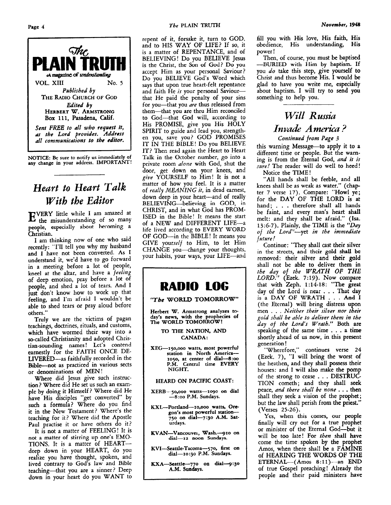

**NOTICE: Be sure to notify us immediately of any change in your address. IMPORTANT!** 

### *Heurt to Heart Tulk With the Editor*

VERY little while I am amazed at E the misunderstanding of so many people, especially about heroming a Christian.

I am thinking now of one who said recently: "I'll tell you why my husband and **I** have not been converted. **As I**  understand it, we'd have to go forward in a meeting before a lot of people, kneel at the altar, and have a *feeling*  of deep emotion, pray before a lot of people, and shed a lot of tears. And I **just** don't know how to work up that feeling, and **I'm** afraid **I** wouldn't be able to shed tears or pray aloud before others."

Truly we are the victims of pagan teachings, doctrines, rituals, and customs, which have wormed their way into a so-called Christianity and adopted Christian-sounding names! Let's contend earnestly for the FAITH ONCE DE-LIVERED-as faithfully recorded in the Bible-not as practiced in various sects or denominations of MEN !

Where did Jesus give such instruction? Where did He set **us** such an example by doing it Himself? Where did He have His disciples "get converted" by such a formula? Where do you find it in the New Testament? Where's the teaching for it? Where did the Apostle Paul practise it or have others do it?

It is not a matter of FEELING! It is not **a** matter **of** stirring **up** one's EMO-TIONS. It is a matter **of** HEARTdeep down in your HEART, do you realize you have thought, spoken, and lived contrary **to** God's law and Bible teaching-that you are a sinner? Deep down in your heart do you WANT to repent of it, forsake it, turn to GOD, and to HIS WAY OF LIFE? If **SO,** it is a matter of REPENTANCE, and of BELIEVING! Do you BELIEVE Jesus is the Christ, *the* **Son** of God? Do **you**  accept Him as your personal Saviour? Do you BELIEVE God's Word which says that upon true heart-felt repentance and faith He is your personal Saviourthat He paid the penalty of **your** sins for you-that you *are* thus released from them-that you arc thru Him reconciled to God-that God will, according to His PROMISE, give you His HOLY SPIRIT to guide and lead you, strength**en** you, save you? GOD PROMISES IT IN THE BIBLE! Do you BELIEVE IT? Then read again the Heart to Heart Talk in the October number, *go* into *a*  private room *alone* with God, shut the door, get down **on** your knees, and *give* YOURSELF to Him! It is not a matter of how you feel. It is a matter of *really MEANING it,* in dead earnest, down deep in your heart-and of really BELIEVING-believing in **GOD,** in CHRIST, and in what God has PROM-ISED in the Bible! It means the start of a NEW and DIFFERENT LIFE-a life lived according to **EVERY WORD**  OF GOD-in the BIBLE! It means you GIVE yourself to Him, to let Him CHANGE you-change your thoughts, your habits, your ways, your LIFE-and



**Herbert W. Armstrong analyzes today's news, with the prophecies of The WORLD TOMORROW** !

> **TO THE NATION,** *AND*  **CANADA** :

**XEG-15o.000 watts, most powerful station in North America-1050, at center of dial-8:oo P.M. Central time EVERY NIGHT.** 

**HEARD ON PACIFIC COAST:** 

- **XERB--go,ooo watts-logo on dial -8** *:oo* **P.M. Sundays.**
- **KXL-Portland-Io,ooo watts, Ore gon's most powerful station-750 on dial-7:30 A.M. Saturdays.**
- **KVAN-Vancouvei, Wash.vIo on dial-xz noon Sundays**
- **KVISeattle-Tacoma-570, first on dial-1o:go P.M. Sundays.**
- KXA-Seattle-770 on dial-9:30 **A.M. Sundays.**

fill you with His love, His faith, His obedience, His understanding, His power !

Then, **of** course, you must be baptised **-BURIED** with Him by baptism. **If**  you *do* take this step, give yourself to Christ and thus become His. **I** would be glad to have you write me, especially about baptism. I will try to send you something to help **you.** 

### *Will Russia Invade America? Continued from Page* **3**

this warning Message—to apply it to a different time or people. But the warning is from the Eternal God, *and it is sure!* The reader will do well to heed! Notice the TIME!

'All hands shall be feeble, and all knees shall be as weak as water." (chapter **7** verse 17). Compare: "Howl ye; for the DAY OF THE LORD **is** at hand; . . . therefore shall all hands be faint, and every man's heart shall melt: and they shall be afraid." **(1s.**  13:6-7). Plainly, the TIME is the  $\ddot{D}a\gamma$ *of the* Lord"-yet *in the immediate future!* 

Continue: "They shall cast their silver in the **streets,** and thcir gold **shall be**  removed: their silver and their gold shall not be able to deliver them in *the day of the WRATH OF THE*  LORD." (Ezek. 7:19). Now compare that with Zeph. 1:14-18: "The great day **of** the **Lord** is near . . . That day **is a** DAY **OF** WRATH . . . And **<sup>I</sup>** (the Eternal) will bring distress upon *gold shall be able to deliver them in the day of the Lords Wrath."* Both are speaking of the same time . . . a time shortly ahead of us now, in this present generation ! men . . . *Neither their silver nor their* 

"Wherefore," continues verse **24**  (Ezek. **7),** "I will bring the worst of the heathen, and they shall possess their houses: and **I** will also make the pomp of the strong to cease . . . DESTRUC-TION cometh; and they shall seek peace, *and there shall be none* . . . then shall they seek a vision of the prophet; but the law shall perish from the priest." (Verses 25-26).

Yes, when this **comes,** our people finally will cry out for a true prophet or minister of the Eternal God-but it will be too late! For *then* shall have come the time spoken by the prophet Amos, when there shall be a FAMINE **of** HEARING THE WORDS **OF THE**  ETERNAL-(Amos **8:ll)- -an END**  of true Gospel preaching! Already the people and their paid ministers have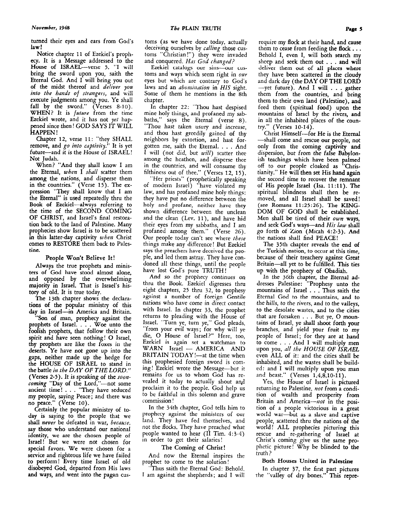turned their eyes and ears from God's law!

Notice chapter **11** of Ezekiel's prophecy. It is a Message addressed to the bring the sword upon you, saith the Eternal God. And I will bring you out of the midst thereof and *deliver you into the hands of strangers,* and will execute judgments among you. Ye shall fall by the sword." (Verses 8-10). WHEN? It **is** *future* from the time Ezekiel wrote, and it has not *yet* happened since then ! GOD SAYS IT WILL HAPPEN ! House of ISRAEL-verse 5. "I will

Chapter **12,** verse **11:** "they SHALL remove, and go *into captivity."* It is yet future-and it **is** the House of ISRAEL! Not Judah.

When? "And they shall know I am the Eternal, *when* I *shall* scatter them among the nations, and disperse them in the countries." (Verse 15). The expression "They shall know that I am the Eternal" is **used** repeatedly thru the Book **of** Ezekiel-always referring to the time of the SECOND COMING OF CHRIST, and Israel's final restoration back to the land of Palestine. Many prophecies show Israel is to be scattered in this latter-day captivity *when* Christ **comes** to RESTORE them back *to* Palestine.

### People Won't Believe It!

Always the true prophets and ministers **of God** have stood almost alone, and opposed by the overwheIming majority in Israel. That is Israel's history of old. It is true today.

The 13th chapter shows the declarations **of** the popular ministry of this day in Israel-in America and Britain.

**"Son** of **man,** prophecy against the prophets of Israel. . . . Woe unto the foolish prophets, that follow their own spirit and have seen nothing! O Israel, thy prophets are like the foxes in the deserts. Ye have not gone up into the gaps, neither made up the hedge for the HOUSE OF ISRAEL to stand in the battle *in the DAY OF THE LORD."*  (Verses *2-5).* It *is* speaking of the *roon*coming "Day of the Lord,"-not some ancient time! . . . "They have seduced my people, saying Peace; and there was **no** peace." (Verse **10).** 

Certainly the popular ministry of today is saying to the people that we shall *never* be defeated in war, *because,*  **say** those who understand our national identity, we are the chosen people of Israel! But we were not chosen for special favors. We were chosen for a service and righteous life we have failed to perform! Every time Israel of old disobeyed God, departed from His laws and ways, and went into the pagan cus-

Ezekiel catalogs our sins-our customs and ways which seem right in *our*  eyes but which are contrary to God's laws and an *abomination* in *HIS* sight. Some of them he mentions in the 8th chapter.

In chapter 22: "Thou hast despised mine holy things, and profaned my sabbaths," says the Eternal (verse 8). "Thou hast taken usury and increase, and thou hast greedily gained of thy neighbors by extortion, and hast forgotten me, saith the Eternal. . . , And I will (not did, but *will)* scatter thee among the heathen, and disperse thee in the countries, and will consume thy filthiness out of thee." (Verses 12, **15).** 

"Her priests" (prophetically speaking of modern Israel) "have violated my law, and has profaned mine holy things: they have put no difference between the holy and profane, neither have they shown difference between the unclean and the clean (Lev. **ll),** and have hid their eyes from my sabbaths, and **I** am profaned among them." (Verse 26). Our people today can't see where *these*  things make any difference! But Ezekiel **says** the preachers have deceived the people, and led them astray. They have condoned all these things, until the people have lost God's pure **TRUTH!** 

And so the prophecy continues on thru the Book. Ezekiel digresses thru eight chapters, 25 thru 32, to prophesy against a number of foreign Gentile nations who have come in direct contact with Israel. In chapter **33,** the prophet returns to pleading with the House of Israel. "Turn ye, turn ye," God pleads, "from your evil ways; for why will ye Hom you evit ways, for why will ye<br>die, O House of Israel?" Here, too,<br>Ezekiel is again set a watchman to<br>WARN Israel — AMERICA AND Ezekiel is again set a watchman to BRITAIN TODAY  $!$ —at the time when this prophesied foreign sword is coming! Ezekiel wrote the Message-but it remains for us to whom God has revealed it today to actually shout and proclaim it to the people. God help us to be faithful in this solemn and grave commission !

In the 34th chapter, God tells him to prophecy against the ministers of our land. They have fed themselves, and not the flocks. They have preached what people wanted to hear **(I1** Tim. **4:3-4)**  in order to get their salaries!

### The **Coming** of Christ !

And now the Eternal inspires the prophet to come to the solution!

Thus saith the Eternal God: Behold, I am against the shepherds; and **I** will

require my flock at their hand, and cause them to cease from feeding the flock  $\dots$ Behold I, even I, will both search my sheep and seek them out . . . and will deliver **them** out of all places **where**  they have been scattered in the cloudy and dark day (the DAY OF THE LORD -yet future). And I will . . . gather them from the countries, and bring them to their own land (Palestine), and feed them (spiritual food) upon the mountains of Isracl by the rivers, and in all the inhabited places of the country." (Verses **10-14).** 

Christ Himself-for He is the Eternal -shall come and rescue our people, not only from the coming captivity and dispersion, but from the false Babylonish teachings which have been palmed off to our people cloaked as "Christianity." He will then set His hand again the second time to recover the remnant of His people Israel (Isa. 11:11). The spiritual blindness shall then be removed, and all Israel shall be saved! (see Romans **11:25:26). The KING-**DOM OF GOD shall be established. Men shall be tired of their *own* ways, and seek God's ways-and *His law* shall go forth of Zlon (Micah **4:2-3). And**  the nations shall find PEACE!

The 35th chapter reveals the end of the Turkish nation, to **occw** at this time, because of their treachery against Great Britain-all yet to be fulfilled. This ties up with the prophecy of Obadiah.

In the 36th chapter, the Eternal addresses Palestine: "Prophesy unto the mountains of Israel . . . Thus saith the Eternal God to the mountains, and to the hills, to the rivers, and to the valleys, to the desolate wastes, and to the cities that are forsaken . . . But ye, 0 mountains of Israel, ye shall shoot forth **your**  branches, and yield your fruit to **my**  people of Israel; for they are at hand to come . . . And I will multiply men upon you, *all the HOUSE OF ISRAEL*  even ALL of it: and the cities shall be inhabited, and the wastes shall be builded: and I will multiply upon you man and beast." (Verses **1,4,8,10-11).** 

Yes, the House of Israel is pictured returning to Palestine, *not* from a condition of wealth and prosperity from Britain and America-not in the position of a people victorious in a great world war-but as a slave and captive people, scattered thru the nations of the world! ALL prophecies picturing this rescue and re-gathering of Israel at Christ's coming give us the same prophetic picture! Why be blinded to the truth?

### **Both Houses United in Palestine**

In chapter **37,** the first part pictures the "valley of dry bones." This repre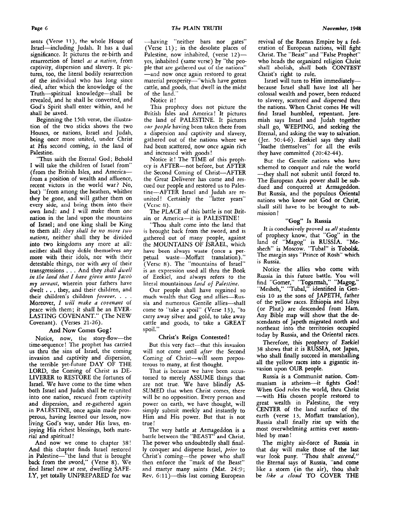*The* **PLAIN TRUTH** *November,* **1948** 

sents (Verse 11), the whole House of Israel-including Judah. It has a dual significance. It pictures the re-birth and resurrection of Israel *as a nation,* from captivity, dispersion and slavery. It **pic**tures, too, the literal bodily resurrection of the individual who has long since died, after which the knowledge of the Truth-spiritual knowledge-shall be revealed, and he shaIl be converted, and God's Spirit shall enter within, and he shall be saved.

Beginning the 15th verse, the illustration of the two sticks shows the two Houses, or nations, Israel and Judah, being once more united, under Christ at **His** second coming, in the land of Palestine.

"Thus saith the Eternal God; Behold **I** will take the children of Israel from" (from the British Isles, and America-from a position of wealth and affluence, recent victors in the world war? NO, but) "from among the heathen, whither they be gone, and will gather them on every **bidc,** and bring thcm into their own land: and **I** will make them one nation in the land upon the mountains of Israel; and one king shall be King to them all: *they shall be 120 more two nalions,* neither shall they be divided into two kingdoms any more at **all:**  neither shall thcy dcfile themselves any more with their idols, nor with their detestable things, nor with *any* of their iransgressions . . . And they *shall dwell in the land that I have given unto Jacob* my *servant,* wherein your fathers have dwelt . . , they, and their children, and their children's children *foreuev.* . . . Moreover, *I will make a covenaift* of peace with them; it shall be an EVER-LASTING COVENANT." (The NEW Covenant). (Verses 21-26).

### And **Now Comes Gog** !

Notice, now, the story-flow-the time-sequence ! The prophet has carried us thru the sins of Israel, the coming invasion and captivity and dispersion, the terrible yet-future DAY OF THE LORD, the Coming of Christ as DE-LIVERER to RESTORE the fortunes of Israel. We have come to the time when both Israel and Judah shall be re-united into one nation, rescued from captivity and dispersion, and re-gathered again in PALESTINE, once again made prosperous, having learned our lesson, now living God's way, under His laws, enjoying His richest blessings, both material and spiritual!

And now we come to chapter **38!**  And this chapter finds Israel restored in Palestine-"the land that is brought back from the sword," (Verse 8). We find Israel now at rest, dwelling SAFE-LY, yet totally UNPREPARED for war

-having "neither bars nor gates" (Verse 11); in the desolate places of Palestine, now inhabited, (verse 12)yes, inhabited (same verse) by "the people that are gathered out of the nations" -and now once again restored to great material prosperity-"which have gotten cattle, and goods, that dwell in the midst of the land."

Notice it!

This prophecy does not picture the Britisli **Isles** and America! It pictures the land of PALESTINE. It pictures *ow people* having been taken there from a dispersion and captivity and slavery, gathered out of the nations where we had been scattered, now once again rich and increased with goods!

Notice it! The TIME of this prophecy is AFTER-not before, but AFTER the Second Coming of Christ-AFTER the Great Deliverer has come and rescued our people and restored us to Palestine-AFTER Israel and Judah are reunited ! Certainly the "latter years" (Vcrsc 8).

The PLACE of this battle is not Britain or America-it is PALESTINE!

"Thou shalt come into the land that is brought back from the sword, and is gathered out of many people, against the MOUNTAINS OF ISRAEL, which **have** been always waste (once **a** perpetual waste-Moffatt translation)." (Verse 8). The "mountains of Israel" **is** an expression used all thru the Book of Ezekiel, and always refers to the literal mountainous *land of Palestine*.

Our people shall have regained so much wealth that Gog and allies-Russia and numerous Gentile allies-shall come to "take a spoil" (Verse **13),** "to carry away silver and gold, to take away cattle and goods, to take a GREAT spoil."

### Christ's Reign Contested !

But this very fact-that this invasion will not come until *after* the Second Coming of Christ-will seem preposterous to many, at first thought.

That is because we have been accustomed to merely ASSUME things that are not true. We have blindly AS-SUMED thal when Christ comes, there will be no opposition. Every person and power on earth, we have thought, will simply submit meekly and instantly to Him and His power. But that is not true!

The very battle at Armageddon is a battle between the **"BEAST"** and Christ. The power who undoubtedly shall finally conquer and disperse Israel, *prior* to Christ's coming-the power who shall then enforce the "mark of the Beast" and martyr many saints (Mat.  $24:9;$ Rev.  $6:11$ )-this last coming European

revival of the Roman Empire by a federation of European nations, will fight Christ. The "Beast" and "False Prophet" who heads the organized religion Christ shall abolish, shall both **CONTEST**  Christ's right to rule.

Israel will turn to Him immediatelybecause Israel shall have lost all her colossal wealth and power, been reduced to slavery, scattered and dispersed thru the nations. When Christ comes He will find Israel humbled, repentant. Jeremiah says Israel and Judah together shall go, WEEPING, and seeking the Eternal, and asking the way to salvation. (Jer. 50:4-6). Ezekiel says they shall "loathe themselves" for all the evils they have committed (20:42-44).

But the Gentile nations who have schemed to conquer and rule the world -they shall not submit until forced to. The European Axis power shall be **sub**dued and conquered at Armageddon. But Russia, and the populous Oriental nations who know not God **or** Christ, shall still have to be brought to submission !

#### *"Gog"* **Is** Russia

It **is** conclusively proved *as all* students of prophecy know, that "Gog" in the land of "Magog" is RUSSIA. "Meshech" is Moscow. "Tubal" is **Tobolsk.**  The margin says "Prince **of** Rosh" which is Russia.

Notice the allies who come with Russia in this future battle. *YOU* will find "Gomer," "Togarmah," "Magog," "Mesheh," "Tubal," identified in Genesis **10** as the sons of JAPETH, father of the yellow races. Ethiopia and Libya (or Phut) are descended from Ham. Any Bible map will show that the descendants of Japeth migrated north and northeast into the territories occupied today by Russia, and the Oriental races.

Therefore, this prophecy of Ezekiel **38** shows that it is RUSSIA, not Japan, who shall finally succeed in marshalling all the yellow races into **a** gigantic invasion **upon** OUR people.

Russia is a Communist nation. Communism is atheism-it fights *God* ! When God **rules** the world, thru Christ -with His chosen people restored to great wealth in Palestine, the very CENTER of the land surface of the earth (verse **13,** Moffatt translation), Russia shall finally rise up with the most overwhelming armies ever **assem**bled by man!

The mighty air-force of Russia in that day will make those of the last war look puny. "Thou shalt ascend," the Eternal says **of** Russia, "and come like a storm (in the air), thou shalt be *like a cloud* TO COVER THE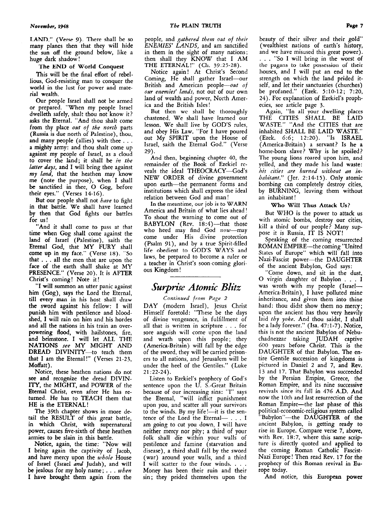**LAND." (Verse** *9).* There shall be **SO**  many planes then that they will hide the sun **off** the ground below, like a huge dark shadow !

### **The END of World** Conquest

This will be the final effort of rebellious, God-resisting man to conquer the world in the lust for power and material wealth.

Our people Israel shall not be armed or prepared. "When my people Israel dwelleth safely, shalt thou not know it? asks the Eternal. "And thou shalt come from thy place *out of the north* parts (Russia is due north of Palestine), thou, and many people (allies) with thee . . . a mighty army: and thou shalt come up against my people of Israel, as a cloud to cover the land; it shall be *in the latter days,* and **I** will bring thee against *my land,* that the heathen may know me (note the purpose), when **I** shall be sanctified in thee, 0 Gog, before their eyes." (Verses **14-16).** 

But our people shall not *have* to fight in that battle. We shall have learned by then that God fights our battles for us!

"And it shall come **to** pass at that time when Gog shall come against the land of Israel (Palestine), saith the Eternal God, that MY FURY shall come up in my face." (Verse **18).** "So that . . . all the men that are upon the face of the earth shall shake at MY PRESENCE." (Verse **20).** It is AFTER Christ's coming! Note it!

"I will summon an utter panic against him (Gog), says the Lord the Eternal, till **every** man in his **host** shall **draw**  the sword against his fellow: I will punish him with pestilence and bloodshed, **I** will rain on him and his hordes and all the nations in his train an overpowering flood, with hailstones, fire, and brimstone. **I** will let ALL THE NATIONS *see* MY MIGHT AND DREAD DIVINITY-to teach them that I am the Eternal!" (Verses **21-23,**  Moffatt).

Notice, these heathen nations do not **see** and recognize the dread DIVIN-ITY, the MIGHT, and POWER of the Eternal Christ, even after He has returned. **He** has to TEACH them that HE *is* the ETERNAL!

The 39th chapter shows in more detail the **RESULT** of this great battle, in which Christ, with supernatural power, causes five-sixth of these heathen armies to be slain in this battle.

Notice, again, the time: "Now will I bring again the captivity of Jacob, and have mercy upon the *whole* House **of** Israel (Israel *and* Judah), and will be jealous for my holy name; . . . *when*  **I** have brought them again from the

people, and *gathered them out of their ENEMIES' LANDS,* and am sanctified in them in the sight of many nations; then shall they KNOW that I AM THE ETERNAL!" (Ch. 39:25-28).

Notice again! At Christ's Second Coming, He shall gather Israel-our British and American people-out of *our enemies' lands,* not out of our own land of wealth and power, North America and the British Isles!

But thcn wc shall bc thoroughly chastened. We shall have learned our lesson. We shall live by GOD'S rules, and obey His Law. "For I have poured out My SPIRIT upon the House of Israel, saith the Eternal God." (Verse 29).

And then, beginning chapter **40,** the remainder of the Book of Ezekiel reveals the ideal THEOCRACY-God's NEW ORDER of divine government upon earth-the permanent forms and institutions which shall express the ideal relation between God and man !

In the meantime, **our job** is *to* WARN America and Britain of what lies ahead ! To shout the warning to come out of BABYLON (Rev. 18:4)-that those who heed may find God  $now$ -may come under His divine protection (Psalm 91), and by a true Spirit-filled life obedient to **GOD'S** WAYS and laws, be prepared to become a ruler or a teacher in Christ's soon-coming glorious Kingdom !

### **Surprise Atomic Blitz**

### *Continued from Page 2*

DAY (modern Israel), Jesus Christ Himself foretold: "These be the days of divine vengeance, in fulfillment of all that is written in scripture . . . for sore anguish will come upon the land and wrath upon this people; they (America-Britain) will fall by the edge of the sword, they will be carried prisoners to all nations, and Jerusalem will be under the heel of the Gentiles." (Luke **21 ~22-24).** 

Listen to Ezekiel's prophecy of God's sentence upon the U. S.-Great Britain because of our increasing sins: **"I"** says the Eternal, "will inflict punishment upon you, and scatter all your survivors to the winds. By my life!---- $it$  is the sentence of the Lord the Eternal- . . . I am going to cut you down, **I** will have neither mercy nor pity; a third of your folk shall die within your walls of pestilence and famine (starvation and disease), a third shall fall by the sword (war) around your walls, and a third I will scatter to the four winds. . . . Money has been their ruin and their sin; they prided themselves upon the

beauty of their silver and their gold" (wealthiest nations of earth's history, and we have misused this great power). . . . "So I will bring in the worst of the pagans *to* takc possession **of** their houses, and **I** will put an end to the strength on which the land prided itself, and let their sanctuaries (churches) be profaned." (Ezek. **5:lO-12; 7:20, 24).** For explanation of Ezekiel's prophecies, see article page **3.** 

Again, "In all your dwelling places THE CITIES SHALL BE LAID WASTE." "And the CITIES that are inhabited SHALL BE LAID WASTE." (Ezek. **6:6; 12:20).** "Is ISRAEL (America-Britain) a servant? Is he a home-born slave? Why is he spoiled? The young lions roared upon him, and yelled, and they made his land waste: his cities are burned without an in*habitant."* (Jer. **2: 14-15).** Only atomic bombing can completely destroy cities, by BURNING, leaving them without an inhabitant!

### Who Will **Thus Attack Us?**

But WHO is the power to attack us with atomic bombs, destroy our cities, kill a third of our people? Many suppose it is Russia. IT IS NOT!

Speaking of the coming resurrected ROMAN EMPIRE-the coming "United States of Europe" which will fall into Nazi-Fascist power-the DAUGHTER of the ancient Babylon, God says:

Come down, and sit in the dust, 0 virgin daughter of Babylon . . . <sup>I</sup> was wroth with my people (Israel-America-Britain), I have polluted mine inhcritance, and given them into thine hand: thou didst show them no mercy; upon the ancient has thou very heavily laid *thy yoke*. And thou saidst, I shall be a lady forever." (Isa. **47:l-7).** Notice, this is not the ancient Babylon of Nebuchadnetzar taking JUDAH captive 600 years before Christ. This is the DAUGHTER of that Babylon. The entire Gentile succession of kingdoms is pictured in Daniel **2** and **7,** and Rev. **13** and **17.** That Babylon was succeeded by the Persian Empire, Greece, the Roman Empire, and its nine successive revivals since its fall in **476** A.D. And now the loth and last resurrection of the Roman Empire-the last phase of this political-economic-religious system called 'Babylon''-the DAUGHTER of the ancient Babylon, is getting ready to rise in Europe. Compare verse **7,** above, with Rev. **18:7,** where this same scripture is directly quoted and applied to the coming Roman Catholic Fascist-Nazi Europe! Then read Rev. **17** for the prophecy of this Roman revival in **Eu**rope today.

And notice, this European power